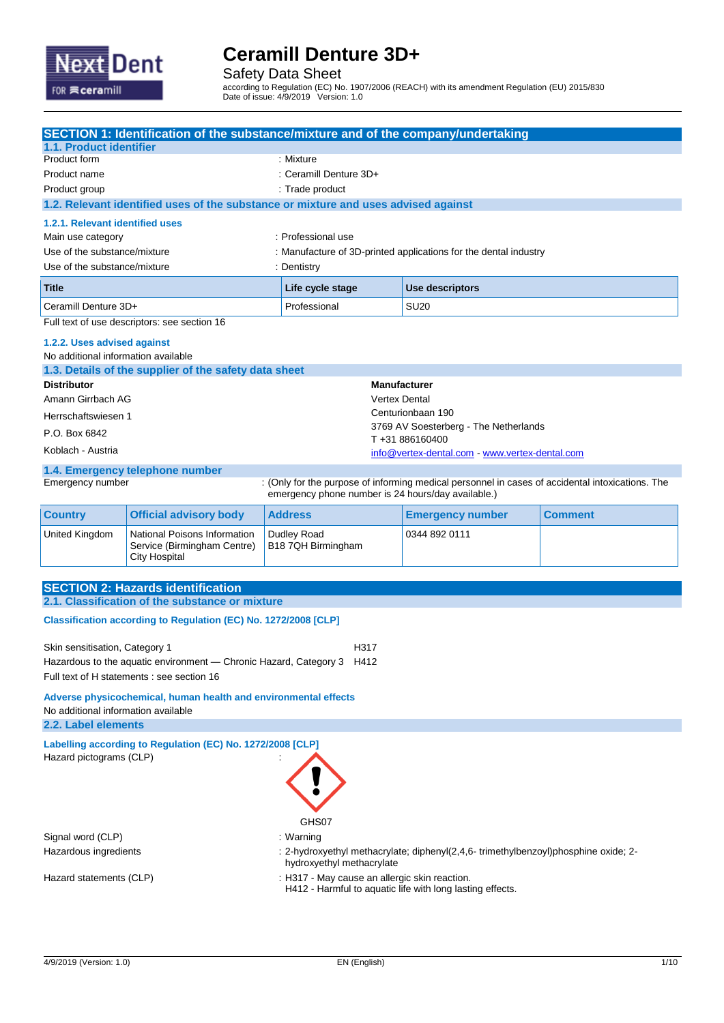

Safety Data Sheet

according to Regulation (EC) No. 1907/2006 (REACH) with its amendment Regulation (EU) 2015/830 Date of issue: 4/9/2019 Version: 1.0

|                                                                                                        | <b>SECTION 1: Identification of the substance/mixture and of the company/undertaking</b> |                                                    |                                                                                                            |                |  |
|--------------------------------------------------------------------------------------------------------|------------------------------------------------------------------------------------------|----------------------------------------------------|------------------------------------------------------------------------------------------------------------|----------------|--|
| 1.1. Product identifier                                                                                |                                                                                          |                                                    |                                                                                                            |                |  |
| Product form                                                                                           |                                                                                          | : Mixture                                          |                                                                                                            |                |  |
| Product name                                                                                           |                                                                                          | : Ceramill Denture 3D+                             |                                                                                                            |                |  |
| Product group                                                                                          |                                                                                          | : Trade product                                    |                                                                                                            |                |  |
|                                                                                                        | 1.2. Relevant identified uses of the substance or mixture and uses advised against       |                                                    |                                                                                                            |                |  |
| 1.2.1. Relevant identified uses                                                                        |                                                                                          |                                                    |                                                                                                            |                |  |
| Main use category                                                                                      |                                                                                          | : Professional use                                 |                                                                                                            |                |  |
| Use of the substance/mixture                                                                           |                                                                                          |                                                    | : Manufacture of 3D-printed applications for the dental industry                                           |                |  |
| Use of the substance/mixture                                                                           |                                                                                          | : Dentistry                                        |                                                                                                            |                |  |
| <b>Title</b>                                                                                           |                                                                                          | <b>Use descriptors</b><br>Life cycle stage         |                                                                                                            |                |  |
| Ceramill Denture 3D+                                                                                   |                                                                                          | Professional                                       | <b>SU20</b>                                                                                                |                |  |
|                                                                                                        | Full text of use descriptors: see section 16                                             |                                                    |                                                                                                            |                |  |
| 1.2.2. Uses advised against                                                                            |                                                                                          |                                                    |                                                                                                            |                |  |
| No additional information available                                                                    |                                                                                          |                                                    |                                                                                                            |                |  |
|                                                                                                        | 1.3. Details of the supplier of the safety data sheet                                    |                                                    |                                                                                                            |                |  |
| <b>Distributor</b>                                                                                     |                                                                                          |                                                    | <b>Manufacturer</b>                                                                                        |                |  |
| Amann Girrbach AG                                                                                      |                                                                                          |                                                    | <b>Vertex Dental</b>                                                                                       |                |  |
| Herrschaftswiesen 1                                                                                    |                                                                                          |                                                    | Centurionbaan 190                                                                                          |                |  |
| P.O. Box 6842                                                                                          |                                                                                          |                                                    | 3769 AV Soesterberg - The Netherlands                                                                      |                |  |
| Koblach - Austria                                                                                      |                                                                                          |                                                    | T+31886160400                                                                                              |                |  |
|                                                                                                        |                                                                                          |                                                    | info@vertex-dental.com - www.vertex-dental.com                                                             |                |  |
|                                                                                                        | 1.4. Emergency telephone number                                                          |                                                    |                                                                                                            |                |  |
| Emergency number                                                                                       |                                                                                          | emergency phone number is 24 hours/day available.) | : (Only for the purpose of informing medical personnel in cases of accidental intoxications. The           |                |  |
| <b>Country</b>                                                                                         | <b>Official advisory body</b>                                                            | <b>Address</b>                                     | <b>Emergency number</b>                                                                                    | <b>Comment</b> |  |
| <b>United Kingdom</b>                                                                                  | National Poisons Information<br>Service (Birmingham Centre)<br><b>City Hospital</b>      | Dudley Road<br>B18 7QH Birmingham                  | 0344 892 0111                                                                                              |                |  |
|                                                                                                        |                                                                                          |                                                    |                                                                                                            |                |  |
|                                                                                                        | <b>SECTION 2: Hazards identification</b>                                                 |                                                    |                                                                                                            |                |  |
|                                                                                                        | 2.1. Classification of the substance or mixture                                          |                                                    |                                                                                                            |                |  |
|                                                                                                        | Classification according to Regulation (EC) No. 1272/2008 [CLP]                          |                                                    |                                                                                                            |                |  |
|                                                                                                        |                                                                                          |                                                    |                                                                                                            |                |  |
| Skin sensitisation, Category 1                                                                         |                                                                                          | H317                                               |                                                                                                            |                |  |
|                                                                                                        | Hazardous to the aquatic environment — Chronic Hazard, Category 3                        | H412                                               |                                                                                                            |                |  |
| Full text of H statements : see section 16                                                             |                                                                                          |                                                    |                                                                                                            |                |  |
| Adverse physicochemical, human health and environmental effects<br>No additional information available |                                                                                          |                                                    |                                                                                                            |                |  |
| 2.2. Label elements                                                                                    |                                                                                          |                                                    |                                                                                                            |                |  |
| Labelling according to Regulation (EC) No. 1272/2008 [CLP]                                             |                                                                                          |                                                    |                                                                                                            |                |  |
| Hazard pictograms (CLP)                                                                                |                                                                                          |                                                    |                                                                                                            |                |  |
|                                                                                                        |                                                                                          |                                                    |                                                                                                            |                |  |
|                                                                                                        |                                                                                          |                                                    |                                                                                                            |                |  |
|                                                                                                        |                                                                                          |                                                    |                                                                                                            |                |  |
|                                                                                                        |                                                                                          | GHS07                                              |                                                                                                            |                |  |
| Signal word (CLP)                                                                                      |                                                                                          | $:$ Warning                                        |                                                                                                            |                |  |
| Hazardous ingredients                                                                                  |                                                                                          | hydroxyethyl methacrylate                          | : 2-hydroxyethyl methacrylate; diphenyl(2,4,6-trimethylbenzoyl)phosphine oxide; 2-                         |                |  |
|                                                                                                        |                                                                                          |                                                    |                                                                                                            |                |  |
| Hazard statements (CLP)                                                                                |                                                                                          |                                                    | : H317 - May cause an allergic skin reaction.<br>H412 - Harmful to aquatic life with long lasting effects. |                |  |
|                                                                                                        |                                                                                          |                                                    |                                                                                                            |                |  |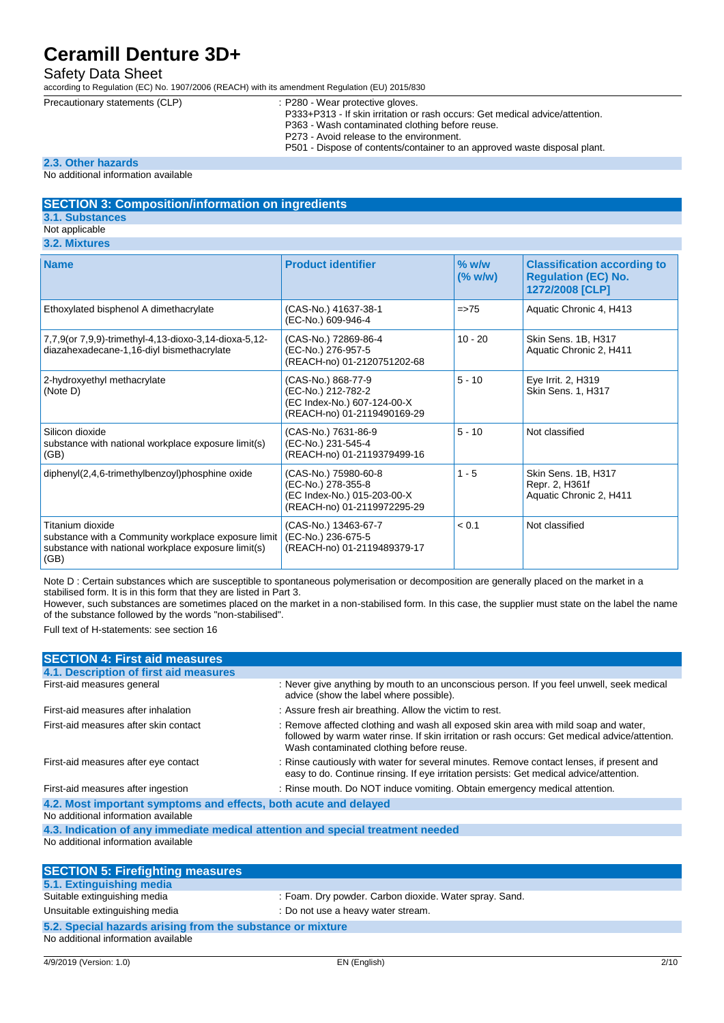#### Safety Data Sheet

according to Regulation (EC) No. 1907/2006 (REACH) with its amendment Regulation (EU) 2015/830

- Precautionary statements (CLP) : P280 Wear protective gloves. P333+P313 - If skin irritation or rash occurs: Get medical advice/attention. P363 - Wash contaminated clothing before reuse.
	- P273 Avoid release to the environment.
	- P501 Dispose of contents/container to an approved waste disposal plant.

#### **2.3. Other hazards**

No additional information available

#### **SECTION 3: Composition/information on ingredients**

**3.1. Substances**

### Not applicable

|  | 3.2. Mixtures |
|--|---------------|
|  |               |

| <b>Name</b>                                                                                                                            | <b>Product identifier</b>                                                                                | $%$ w/w<br>$(\%$ w/w) | <b>Classification according to</b><br><b>Regulation (EC) No.</b><br>1272/2008 [CLP] |
|----------------------------------------------------------------------------------------------------------------------------------------|----------------------------------------------------------------------------------------------------------|-----------------------|-------------------------------------------------------------------------------------|
| Ethoxylated bisphenol A dimethacrylate                                                                                                 | (CAS-No.) 41637-38-1<br>(EC-No.) 609-946-4                                                               | $=$ $>$ 75            | Aquatic Chronic 4, H413                                                             |
| 7,7,9(or 7,9,9)-trimethyl-4,13-dioxo-3,14-dioxa-5,12-<br>diazahexadecane-1,16-diyl bismethacrylate                                     | (CAS-No.) 72869-86-4<br>(EC-No.) 276-957-5<br>(REACH-no) 01-2120751202-68                                | $10 - 20$             | Skin Sens. 1B, H317<br>Aquatic Chronic 2, H411                                      |
| 2-hydroxyethyl methacrylate<br>(Note D)                                                                                                | (CAS-No.) 868-77-9<br>(EC-No.) 212-782-2<br>(EC Index-No.) 607-124-00-X<br>(REACH-no) 01-2119490169-29   | $5 - 10$              | Eye Irrit. 2, H319<br>Skin Sens. 1, H317                                            |
| Silicon dioxide<br>substance with national workplace exposure limit(s)<br>(GB)                                                         | (CAS-No.) 7631-86-9<br>(EC-No.) 231-545-4<br>(REACH-no) 01-2119379499-16                                 | $5 - 10$              | Not classified                                                                      |
| diphenyl(2,4,6-trimethylbenzoyl)phosphine oxide                                                                                        | (CAS-No.) 75980-60-8<br>(EC-No.) 278-355-8<br>(EC Index-No.) 015-203-00-X<br>(REACH-no) 01-2119972295-29 | $1 - 5$               | Skin Sens. 1B, H317<br>Repr. 2, H361f<br>Aquatic Chronic 2, H411                    |
| Titanium dioxide<br>substance with a Community workplace exposure limit<br>substance with national workplace exposure limit(s)<br>(GB) | (CAS-No.) 13463-67-7<br>(EC-No.) 236-675-5<br>(REACH-no) 01-2119489379-17                                | < 0.1                 | Not classified                                                                      |

Note D : Certain substances which are susceptible to spontaneous polymerisation or decomposition are generally placed on the market in a stabilised form. It is in this form that they are listed in Part 3.

However, such substances are sometimes placed on the market in a non-stabilised form. In this case, the supplier must state on the label the name of the substance followed by the words "non-stabilised".

Full text of H-statements: see section 16

| <b>SECTION 4: First aid measures</b>                                            |                                                                                                                                                                                                                                   |
|---------------------------------------------------------------------------------|-----------------------------------------------------------------------------------------------------------------------------------------------------------------------------------------------------------------------------------|
| 4.1. Description of first aid measures                                          |                                                                                                                                                                                                                                   |
| First-aid measures general                                                      | : Never give anything by mouth to an unconscious person. If you feel unwell, seek medical<br>advice (show the label where possible).                                                                                              |
| First-aid measures after inhalation                                             | : Assure fresh air breathing. Allow the victim to rest.                                                                                                                                                                           |
| First-aid measures after skin contact                                           | : Remove affected clothing and wash all exposed skin area with mild soap and water,<br>followed by warm water rinse. If skin irritation or rash occurs: Get medical advice/attention.<br>Wash contaminated clothing before reuse. |
| First-aid measures after eye contact                                            | : Rinse cautiously with water for several minutes. Remove contact lenses, if present and<br>easy to do. Continue rinsing. If eye irritation persists: Get medical advice/attention.                                               |
| First-aid measures after ingestion                                              | : Rinse mouth. Do NOT induce vomiting. Obtain emergency medical attention.                                                                                                                                                        |
| 4.2. Most important symptoms and effects, both acute and delayed                |                                                                                                                                                                                                                                   |
| No additional information available                                             |                                                                                                                                                                                                                                   |
| 4.3. Indication of any immediate medical attention and special treatment needed |                                                                                                                                                                                                                                   |
| No additional information available                                             |                                                                                                                                                                                                                                   |
| <b>SECTION 5: Firefighting measures</b>                                         |                                                                                                                                                                                                                                   |
| 5.1. Extinguishing media                                                        |                                                                                                                                                                                                                                   |
| Suitable extinguishing media                                                    | : Foam. Dry powder. Carbon dioxide. Water spray. Sand.                                                                                                                                                                            |
| Unsuitable extinguishing media                                                  | : Do not use a heavy water stream.                                                                                                                                                                                                |

## **5.2. Special hazards arising from the substance or mixture**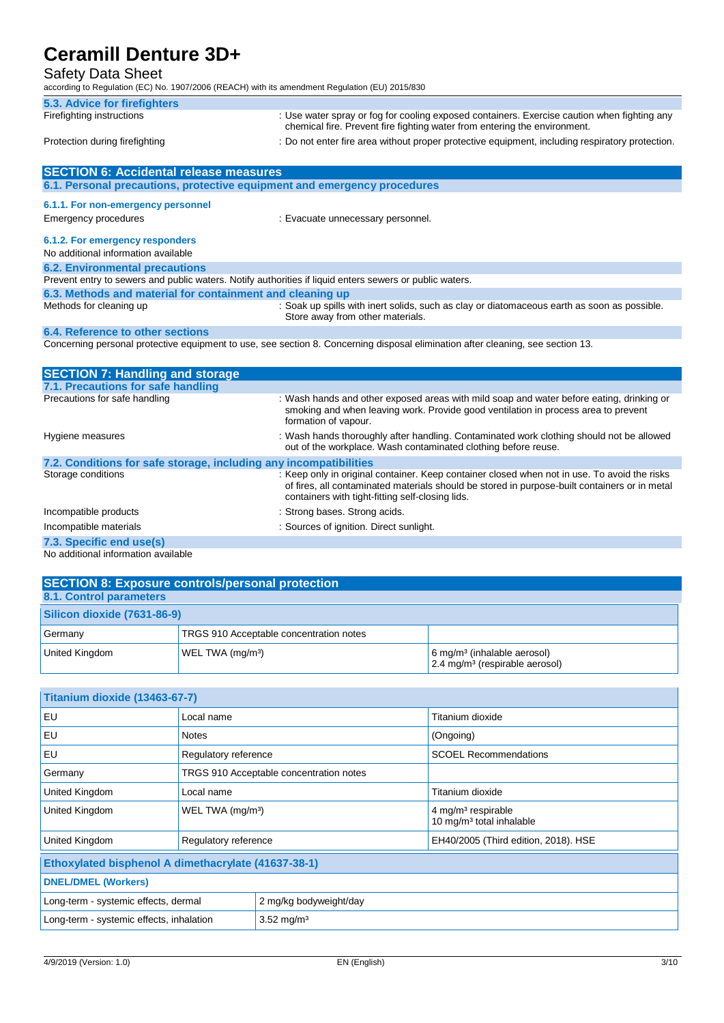#### Safety Data Sheet

according to Regulation (EC) No. 1907/2006 (REACH) with its amendment Regulation (EU) 2015/830

| 5.3. Advice for firefighters   |                                                                                                                                                                          |
|--------------------------------|--------------------------------------------------------------------------------------------------------------------------------------------------------------------------|
| Firefighting instructions      | : Use water spray or fog for cooling exposed containers. Exercise caution when fighting any<br>chemical fire. Prevent fire fighting water from entering the environment. |
| Protection during firefighting | : Do not enter fire area without proper protective equipment, including respiratory protection.                                                                          |

| <b>SECTION 6: Accidental release measures</b>                                                                                   |                                                                                                                                 |  |
|---------------------------------------------------------------------------------------------------------------------------------|---------------------------------------------------------------------------------------------------------------------------------|--|
| 6.1. Personal precautions, protective equipment and emergency procedures                                                        |                                                                                                                                 |  |
| 6.1.1. For non-emergency personnel                                                                                              |                                                                                                                                 |  |
|                                                                                                                                 |                                                                                                                                 |  |
| <b>Emergency procedures</b>                                                                                                     | : Evacuate unnecessary personnel.                                                                                               |  |
| 6.1.2. For emergency responders                                                                                                 |                                                                                                                                 |  |
| No additional information available                                                                                             |                                                                                                                                 |  |
| <b>6.2. Environmental precautions</b>                                                                                           |                                                                                                                                 |  |
| Prevent entry to sewers and public waters. Notify authorities if liquid enters sewers or public waters.                         |                                                                                                                                 |  |
| 6.3. Methods and material for containment and cleaning up                                                                       |                                                                                                                                 |  |
| Methods for cleaning up                                                                                                         | : Soak up spills with inert solids, such as clay or diatomaceous earth as soon as possible.<br>Store away from other materials. |  |
| 6.4. Reference to other sections                                                                                                |                                                                                                                                 |  |
| Concerning personal protective equipment to use, see section 8. Concerning disposal elimination after cleaning, see section 13. |                                                                                                                                 |  |
|                                                                                                                                 |                                                                                                                                 |  |
|                                                                                                                                 |                                                                                                                                 |  |
| <b>SECTION 7: Handling and storage</b>                                                                                          |                                                                                                                                 |  |

| 7.1. Precautions for safe handling                                |                                                                                                                                                                                                                                                   |
|-------------------------------------------------------------------|---------------------------------------------------------------------------------------------------------------------------------------------------------------------------------------------------------------------------------------------------|
| Precautions for safe handling                                     | : Wash hands and other exposed areas with mild soap and water before eating, drinking or<br>smoking and when leaving work. Provide good ventilation in process area to prevent<br>formation of vapour.                                            |
| Hygiene measures                                                  | : Wash hands thoroughly after handling. Contaminated work clothing should not be allowed<br>out of the workplace. Wash contaminated clothing before reuse.                                                                                        |
| 7.2. Conditions for safe storage, including any incompatibilities |                                                                                                                                                                                                                                                   |
| Storage conditions                                                | : Keep only in original container. Keep container closed when not in use. To avoid the risks<br>of fires, all contaminated materials should be stored in purpose-built containers or in metal<br>containers with tight-fitting self-closing lids. |
| Incompatible products                                             | : Strong bases. Strong acids.                                                                                                                                                                                                                     |
| Incompatible materials                                            | : Sources of ignition. Direct sunlight.                                                                                                                                                                                                           |
| 7.3. Specific end use(s)                                          |                                                                                                                                                                                                                                                   |
| No odditional information quailable                               |                                                                                                                                                                                                                                                   |

No additional information available

| <b>SECTION 8: Exposure controls/personal protection</b> |                                         |                                                                                         |
|---------------------------------------------------------|-----------------------------------------|-----------------------------------------------------------------------------------------|
| 8.1. Control parameters                                 |                                         |                                                                                         |
| Silicon dioxide (7631-86-9)                             |                                         |                                                                                         |
| Germany                                                 | TRGS 910 Acceptable concentration notes |                                                                                         |
| United Kingdom                                          | WEL TWA (mg/m <sup>3</sup> )            | 6 mg/m <sup>3</sup> (inhalable aerosol)<br>$2.4$ mg/m <sup>3</sup> (respirable aerosol) |

| Titanium dioxide (13463-67-7)                                      |                              |                                         |                                                                        |
|--------------------------------------------------------------------|------------------------------|-----------------------------------------|------------------------------------------------------------------------|
| EU                                                                 | Local name                   |                                         | Titanium dioxide                                                       |
| EU                                                                 | <b>Notes</b>                 |                                         | (Ongoing)                                                              |
| EU                                                                 | Regulatory reference         |                                         | <b>SCOEL Recommendations</b>                                           |
| Germany                                                            |                              | TRGS 910 Acceptable concentration notes |                                                                        |
| United Kingdom                                                     | Local name                   |                                         | Titanium dioxide                                                       |
| United Kingdom                                                     | WEL TWA (mg/m <sup>3</sup> ) |                                         | 4 mg/m <sup>3</sup> respirable<br>10 mg/m <sup>3</sup> total inhalable |
| United Kingdom                                                     | Regulatory reference         |                                         | EH40/2005 (Third edition, 2018). HSE                                   |
| Ethoxylated bisphenol A dimethacrylate (41637-38-1)                |                              |                                         |                                                                        |
| <b>DNEL/DMEL (Workers)</b>                                         |                              |                                         |                                                                        |
| Long-term - systemic effects, dermal<br>2 mg/kg bodyweight/day     |                              |                                         |                                                                        |
| Long-term - systemic effects, inhalation<br>3.52 mg/m <sup>3</sup> |                              |                                         |                                                                        |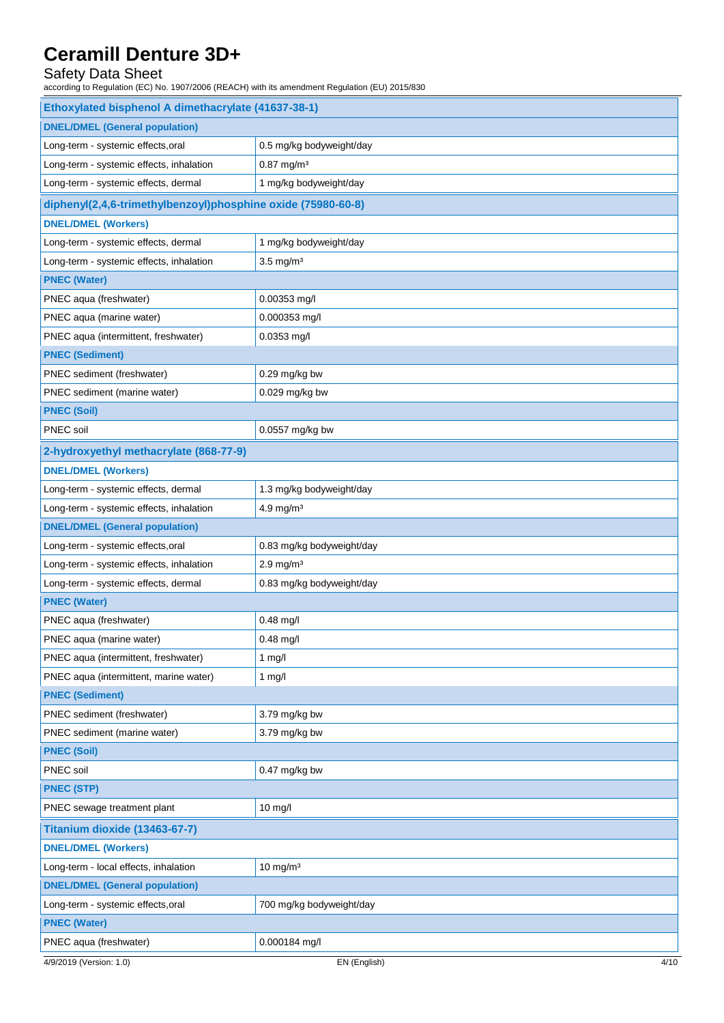## Safety Data Sheet

according to Regulation (EC) No. 1907/2006 (REACH) with its amendment Regulation (EU) 2015/830

| Ethoxylated bisphenol A dimethacrylate (41637-38-1)          |                           |  |
|--------------------------------------------------------------|---------------------------|--|
| <b>DNEL/DMEL (General population)</b>                        |                           |  |
| Long-term - systemic effects, oral                           | 0.5 mg/kg bodyweight/day  |  |
| Long-term - systemic effects, inhalation                     | $0.87$ mg/m <sup>3</sup>  |  |
| Long-term - systemic effects, dermal                         | 1 mg/kg bodyweight/day    |  |
| diphenyl(2,4,6-trimethylbenzoyl)phosphine oxide (75980-60-8) |                           |  |
| <b>DNEL/DMEL (Workers)</b>                                   |                           |  |
| Long-term - systemic effects, dermal                         | 1 mg/kg bodyweight/day    |  |
| Long-term - systemic effects, inhalation                     | $3.5 \text{ mg/m}^3$      |  |
| <b>PNEC (Water)</b>                                          |                           |  |
| PNEC aqua (freshwater)                                       | 0.00353 mg/l              |  |
| PNEC aqua (marine water)                                     | 0.000353 mg/l             |  |
| PNEC aqua (intermittent, freshwater)                         | $0.0353$ mg/l             |  |
| <b>PNEC (Sediment)</b>                                       |                           |  |
| PNEC sediment (freshwater)                                   | 0.29 mg/kg bw             |  |
| PNEC sediment (marine water)                                 | 0.029 mg/kg bw            |  |
| <b>PNEC (Soil)</b>                                           |                           |  |
| PNEC soil                                                    | 0.0557 mg/kg bw           |  |
| 2-hydroxyethyl methacrylate (868-77-9)                       |                           |  |
| <b>DNEL/DMEL (Workers)</b>                                   |                           |  |
| Long-term - systemic effects, dermal                         | 1.3 mg/kg bodyweight/day  |  |
| Long-term - systemic effects, inhalation                     | 4.9 mg/m $3$              |  |
| <b>DNEL/DMEL (General population)</b>                        |                           |  |
| Long-term - systemic effects, oral                           | 0.83 mg/kg bodyweight/day |  |
| Long-term - systemic effects, inhalation                     | $2.9$ mg/m <sup>3</sup>   |  |
| Long-term - systemic effects, dermal                         | 0.83 mg/kg bodyweight/day |  |
| <b>PNEC (Water)</b>                                          |                           |  |
| PNEC aqua (freshwater)                                       | $0.48$ mg/l               |  |
| PNEC aqua (marine water)                                     | 0.48 mg/l                 |  |
| PNEC aqua (intermittent, freshwater)                         | 1 $mg/l$                  |  |
| PNEC aqua (intermittent, marine water)                       | $1$ mg/l                  |  |
| <b>PNEC (Sediment)</b>                                       |                           |  |
| PNEC sediment (freshwater)                                   | 3.79 mg/kg bw             |  |
| PNEC sediment (marine water)                                 | 3.79 mg/kg bw             |  |
| <b>PNEC (Soil)</b>                                           |                           |  |
| PNEC soil                                                    | 0.47 mg/kg bw             |  |
| <b>PNEC (STP)</b>                                            |                           |  |
| PNEC sewage treatment plant                                  | $10$ mg/l                 |  |
| Titanium dioxide (13463-67-7)                                |                           |  |
| <b>DNEL/DMEL (Workers)</b>                                   |                           |  |
| Long-term - local effects, inhalation                        | $10$ mg/m <sup>3</sup>    |  |
| <b>DNEL/DMEL (General population)</b>                        |                           |  |
| Long-term - systemic effects, oral                           | 700 mg/kg bodyweight/day  |  |
| <b>PNEC (Water)</b>                                          |                           |  |
| PNEC aqua (freshwater)                                       | 0.000184 mg/l             |  |
| 4/9/2019 (Version: 1.0)                                      | EN (English)<br>4/10      |  |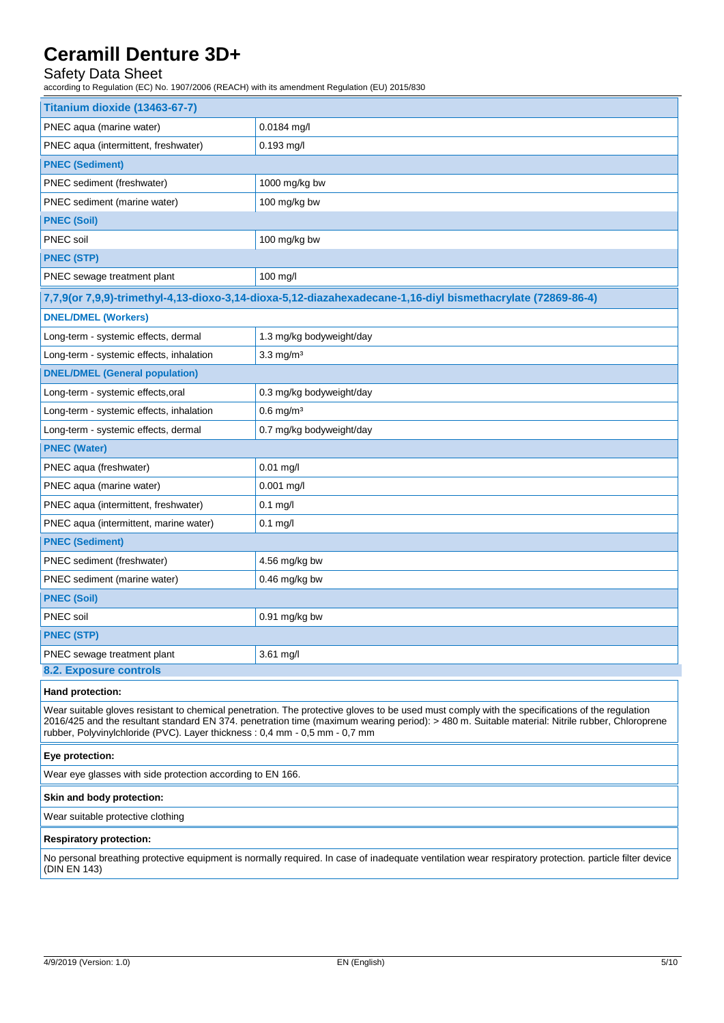## Safety Data Sheet

according to Regulation (EC) No. 1907/2006 (REACH) with its amendment Regulation (EU) 2015/830

| Titanium dioxide (13463-67-7)                                                                                                                                                                                                                                                                                                                                                  |                                                                                                             |  |
|--------------------------------------------------------------------------------------------------------------------------------------------------------------------------------------------------------------------------------------------------------------------------------------------------------------------------------------------------------------------------------|-------------------------------------------------------------------------------------------------------------|--|
| PNEC aqua (marine water)                                                                                                                                                                                                                                                                                                                                                       | 0.0184 mg/l                                                                                                 |  |
| PNEC aqua (intermittent, freshwater)                                                                                                                                                                                                                                                                                                                                           | $0.193$ mg/l                                                                                                |  |
| <b>PNEC (Sediment)</b>                                                                                                                                                                                                                                                                                                                                                         |                                                                                                             |  |
| PNEC sediment (freshwater)                                                                                                                                                                                                                                                                                                                                                     | 1000 mg/kg bw                                                                                               |  |
| PNEC sediment (marine water)                                                                                                                                                                                                                                                                                                                                                   | 100 mg/kg bw                                                                                                |  |
| <b>PNEC (Soil)</b>                                                                                                                                                                                                                                                                                                                                                             |                                                                                                             |  |
| PNEC soil                                                                                                                                                                                                                                                                                                                                                                      | 100 mg/kg bw                                                                                                |  |
| <b>PNEC (STP)</b>                                                                                                                                                                                                                                                                                                                                                              |                                                                                                             |  |
| PNEC sewage treatment plant                                                                                                                                                                                                                                                                                                                                                    | 100 mg/l                                                                                                    |  |
|                                                                                                                                                                                                                                                                                                                                                                                | 7,7,9(or 7,9,9)-trimethyl-4,13-dioxo-3,14-dioxa-5,12-diazahexadecane-1,16-diyl bismethacrylate (72869-86-4) |  |
| <b>DNEL/DMEL (Workers)</b>                                                                                                                                                                                                                                                                                                                                                     |                                                                                                             |  |
| Long-term - systemic effects, dermal                                                                                                                                                                                                                                                                                                                                           | 1.3 mg/kg bodyweight/day                                                                                    |  |
| Long-term - systemic effects, inhalation                                                                                                                                                                                                                                                                                                                                       | $3.3 \text{ mg/m}^3$                                                                                        |  |
| <b>DNEL/DMEL (General population)</b>                                                                                                                                                                                                                                                                                                                                          |                                                                                                             |  |
| Long-term - systemic effects, oral                                                                                                                                                                                                                                                                                                                                             | 0.3 mg/kg bodyweight/day                                                                                    |  |
| Long-term - systemic effects, inhalation                                                                                                                                                                                                                                                                                                                                       | $0.6$ mg/m <sup>3</sup>                                                                                     |  |
| Long-term - systemic effects, dermal                                                                                                                                                                                                                                                                                                                                           | 0.7 mg/kg bodyweight/day                                                                                    |  |
| <b>PNEC (Water)</b>                                                                                                                                                                                                                                                                                                                                                            |                                                                                                             |  |
| PNEC aqua (freshwater)                                                                                                                                                                                                                                                                                                                                                         | $0.01$ mg/l                                                                                                 |  |
| PNEC aqua (marine water)                                                                                                                                                                                                                                                                                                                                                       | 0.001 mg/l                                                                                                  |  |
| PNEC aqua (intermittent, freshwater)                                                                                                                                                                                                                                                                                                                                           | $0.1$ mg/l                                                                                                  |  |
| PNEC aqua (intermittent, marine water)                                                                                                                                                                                                                                                                                                                                         | $0.1$ mg/l                                                                                                  |  |
| <b>PNEC (Sediment)</b>                                                                                                                                                                                                                                                                                                                                                         |                                                                                                             |  |
| PNEC sediment (freshwater)                                                                                                                                                                                                                                                                                                                                                     | 4.56 mg/kg bw                                                                                               |  |
| PNEC sediment (marine water)                                                                                                                                                                                                                                                                                                                                                   | $0.46$ mg/kg bw                                                                                             |  |
| <b>PNEC (Soil)</b>                                                                                                                                                                                                                                                                                                                                                             |                                                                                                             |  |
| PNEC soil                                                                                                                                                                                                                                                                                                                                                                      | $0.91$ mg/kg bw                                                                                             |  |
| <b>PNEC (STP)</b>                                                                                                                                                                                                                                                                                                                                                              |                                                                                                             |  |
| PNEC sewage treatment plant                                                                                                                                                                                                                                                                                                                                                    | 3.61 mg/l                                                                                                   |  |
| <b>8.2. Exposure controls</b>                                                                                                                                                                                                                                                                                                                                                  |                                                                                                             |  |
| Hand protection:                                                                                                                                                                                                                                                                                                                                                               |                                                                                                             |  |
| Wear suitable gloves resistant to chemical penetration. The protective gloves to be used must comply with the specifications of the regulation<br>2016/425 and the resultant standard EN 374. penetration time (maximum wearing period): > 480 m. Suitable material: Nitrile rubber, Chloroprene<br>rubber, Polyvinylchloride (PVC). Layer thickness: 0,4 mm - 0,5 mm - 0,7 mm |                                                                                                             |  |

#### **Eye protection:**

Wear eye glasses with side protection according to EN 166.

#### **Skin and body protection:**

Wear suitable protective clothing

#### **Respiratory protection:**

No personal breathing protective equipment is normally required. In case of inadequate ventilation wear respiratory protection. particle filter device (DIN EN 143)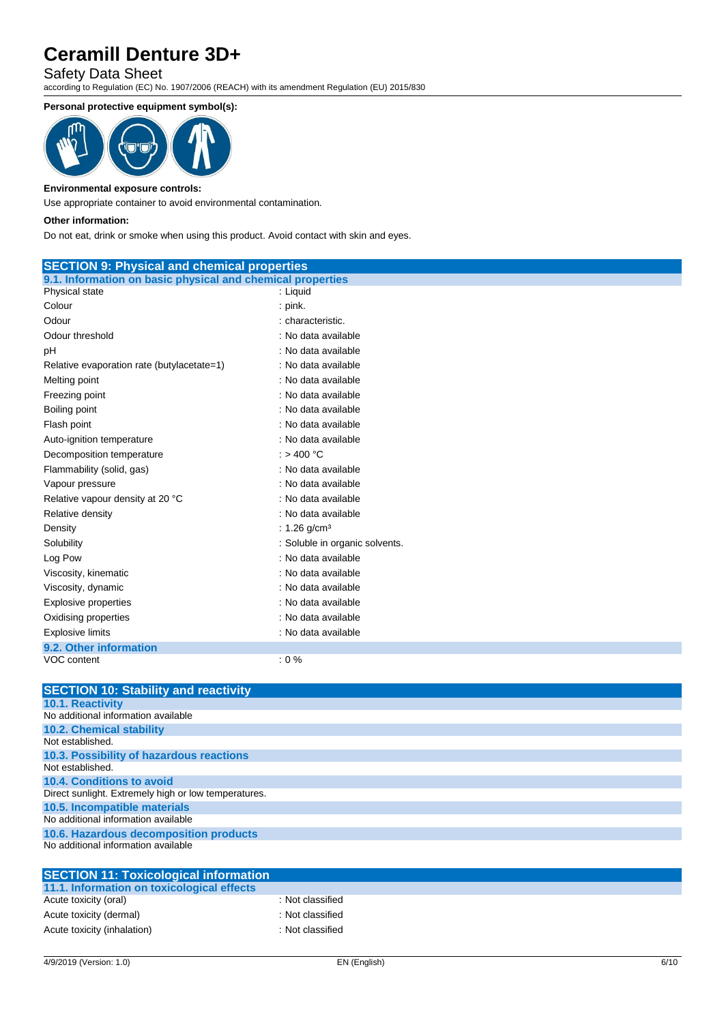### Safety Data Sheet

according to Regulation (EC) No. 1907/2006 (REACH) with its amendment Regulation (EU) 2015/830

#### **Personal protective equipment symbol(s):**



#### **Environmental exposure controls:**

Use appropriate container to avoid environmental contamination.

#### **Other information:**

Do not eat, drink or smoke when using this product. Avoid contact with skin and eyes.

| <b>SECTION 9: Physical and chemical properties</b>         |                                |  |
|------------------------------------------------------------|--------------------------------|--|
| 9.1. Information on basic physical and chemical properties |                                |  |
| Physical state                                             | : Liquid                       |  |
| Colour                                                     | $:$ pink.                      |  |
| Odour                                                      | : characteristic.              |  |
| Odour threshold                                            | : No data available            |  |
| pH                                                         | : No data available            |  |
| Relative evaporation rate (butylacetate=1)                 | : No data available            |  |
| Melting point                                              | : No data available            |  |
| Freezing point                                             | : No data available            |  |
| Boiling point                                              | : No data available            |  |
| Flash point                                                | : No data available            |  |
| Auto-ignition temperature                                  | : No data available            |  |
| Decomposition temperature                                  | : $> 400 °C$                   |  |
| Flammability (solid, gas)                                  | : No data available            |  |
| Vapour pressure                                            | : No data available            |  |
| Relative vapour density at 20 °C                           | : No data available            |  |
| Relative density                                           | : No data available            |  |
| Density                                                    | : $1.26$ g/cm <sup>3</sup>     |  |
| Solubility                                                 | : Soluble in organic solvents. |  |
| Log Pow                                                    | : No data available            |  |
| Viscosity, kinematic                                       | : No data available            |  |
| Viscosity, dynamic                                         | : No data available            |  |
| Explosive properties                                       | : No data available            |  |
| Oxidising properties                                       | : No data available            |  |
| <b>Explosive limits</b>                                    | : No data available            |  |
| 9.2. Other information                                     |                                |  |
| VOC content                                                | $: 0 \%$                       |  |

**SECTION 10: Stability and reactivity 10.1. Reactivity** No additional information available **10.2. Chemical stability** Not established. **10.3. Possibility of hazardous reactions** Not established. **10.4. Conditions to avoid** Direct sunlight. Extremely high or low temperatures. **10.5. Incompatible materials** No additional information available **10.6. Hazardous decomposition products** No additional information available

| <b>SECTION 11: Toxicological information</b> |                  |  |
|----------------------------------------------|------------------|--|
| 11.1. Information on toxicological effects   |                  |  |
| Acute toxicity (oral)                        | : Not classified |  |
| Acute toxicity (dermal)                      | : Not classified |  |
| Acute toxicity (inhalation)                  | : Not classified |  |
|                                              |                  |  |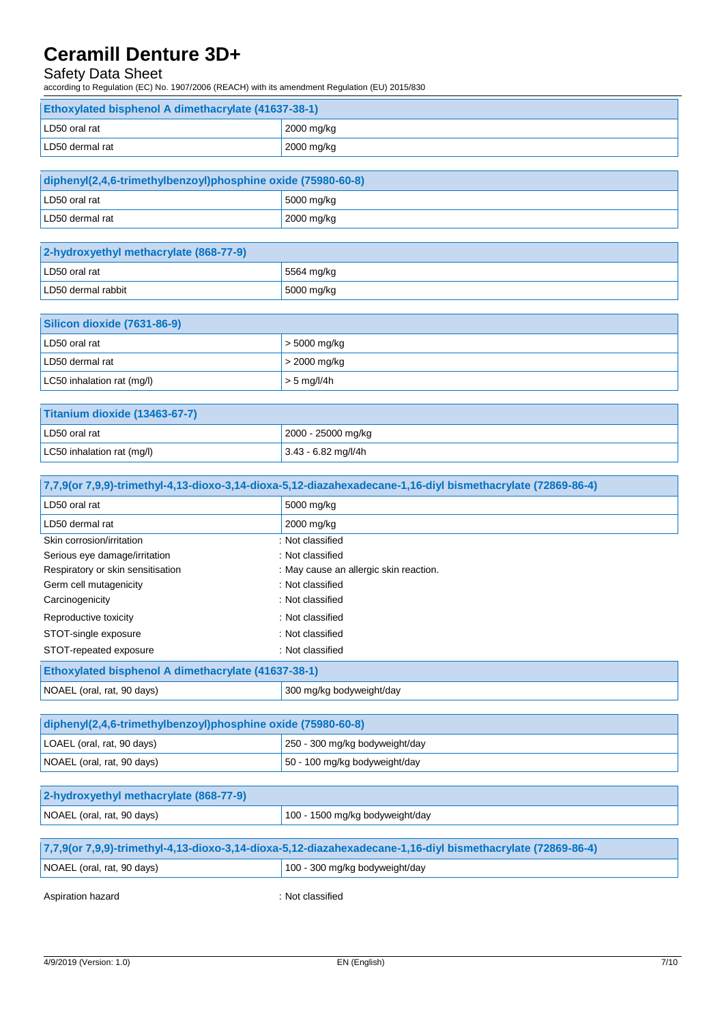## Safety Data Sheet

according to Regulation (EC) No. 1907/2006 (REACH) with its amendment Regulation (EU) 2015/830

| <b>Ethoxylated bisphenol A dimethacrylate (41637-38-1)</b> |              |  |
|------------------------------------------------------------|--------------|--|
| LD50 oral rat<br>2000 mg/kg                                |              |  |
| LD50 dermal rat                                            | $2000$ mg/kg |  |

| diphenyl(2,4,6-trimethylbenzoyl)phosphine oxide (75980-60-8) |              |  |  |
|--------------------------------------------------------------|--------------|--|--|
| $\frac{15000}{\text{mg/kg}}$<br>LD50 oral rat                |              |  |  |
| LD50 dermal rat                                              | $2000$ mg/kg |  |  |

| 2-hydroxyethyl methacrylate (868-77-9) |                         |  |
|----------------------------------------|-------------------------|--|
| LD50 oral rat<br>5564 mg/kg            |                         |  |
| LD50 dermal rabbit                     | $\frac{15000}{9}$ mg/kg |  |

| Silicon dioxide (7631-86-9) |                      |  |
|-----------------------------|----------------------|--|
| LD50 oral rat               | $\vert$ > 5000 mg/kg |  |
| LD50 dermal rat             | $\vert$ > 2000 mg/kg |  |
| LC50 inhalation rat (mg/l)  | $\vert$ > 5 mg/l/4h  |  |

| Titanium dioxide (13463-67-7)       |                       |  |  |
|-------------------------------------|-----------------------|--|--|
| 2000 - 25000 mg/kg<br>LD50 oral rat |                       |  |  |
| LC50 inhalation rat (mg/l)          | $3.43 - 6.82$ mg/l/4h |  |  |

| 7,7,9(or 7,9,9)-trimethyl-4,13-dioxo-3,14-dioxa-5,12-diazahexadecane-1,16-diyl bismethacrylate (72869-86-4) |                                        |  |  |
|-------------------------------------------------------------------------------------------------------------|----------------------------------------|--|--|
| LD50 oral rat                                                                                               | 5000 mg/kg                             |  |  |
| LD50 dermal rat                                                                                             | 2000 mg/kg                             |  |  |
| Skin corrosion/irritation                                                                                   | : Not classified                       |  |  |
| Serious eye damage/irritation                                                                               | : Not classified                       |  |  |
| Respiratory or skin sensitisation                                                                           | : May cause an allergic skin reaction. |  |  |
| Germ cell mutagenicity                                                                                      | : Not classified                       |  |  |
| Carcinogenicity                                                                                             | : Not classified                       |  |  |
| Reproductive toxicity                                                                                       | : Not classified                       |  |  |
| STOT-single exposure                                                                                        | : Not classified                       |  |  |
| STOT-repeated exposure                                                                                      | : Not classified                       |  |  |
| Ethoxylated bisphenol A dimethacrylate (41637-38-1)                                                         |                                        |  |  |
| NOAEL (oral, rat, 90 days)                                                                                  | 300 mg/kg bodyweight/day               |  |  |
|                                                                                                             |                                        |  |  |
| diphenyl(2,4,6-trimethylbenzoyl)phosphine oxide (75980-60-8)                                                |                                        |  |  |
| LOAEL (oral, rat, 90 days)                                                                                  | 250 - 300 mg/kg bodyweight/day         |  |  |
| NOAEL (oral, rat, 90 days)                                                                                  | 50 - 100 mg/kg bodyweight/day          |  |  |
|                                                                                                             |                                        |  |  |
| 2-hydroxyethyl methacrylate (868-77-9)                                                                      |                                        |  |  |
| NOAEL (oral, rat, 90 days)                                                                                  | 100 - 1500 mg/kg bodyweight/day        |  |  |

| 7,7,9(or 7,9,9)-trimethyl-4,13-dioxo-3,14-dioxa-5,12-diazahexadecane-1,16-diyl bismethacrylate (72869-86-4) |  |  |  |
|-------------------------------------------------------------------------------------------------------------|--|--|--|
| 100 - 300 mg/kg bodyweight/day<br>NOAEL (oral, rat, 90 days)                                                |  |  |  |
|                                                                                                             |  |  |  |

Aspiration hazard **in the set of the set of the set of the set of the set of the set of the set of the set of the set of the set of the set of the set of the set of the set of the set of the set of the set of the set of th**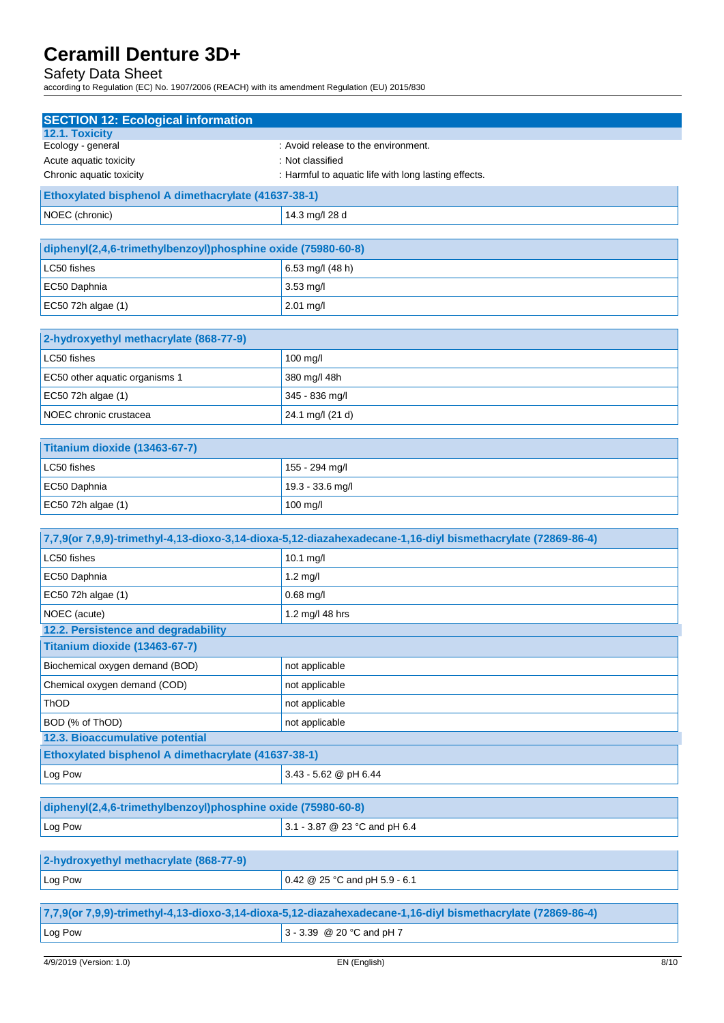#### Safety Data Sheet

according to Regulation (EC) No. 1907/2006 (REACH) with its amendment Regulation (EU) 2015/830

| <b>SECTION 12: Ecological information</b>                                                                   |                                                                                                             |  |  |
|-------------------------------------------------------------------------------------------------------------|-------------------------------------------------------------------------------------------------------------|--|--|
| 12.1. Toxicity                                                                                              |                                                                                                             |  |  |
| Ecology - general                                                                                           | : Avoid release to the environment.                                                                         |  |  |
| Acute aquatic toxicity<br>Chronic aquatic toxicity                                                          | : Not classified<br>: Harmful to aquatic life with long lasting effects.                                    |  |  |
|                                                                                                             |                                                                                                             |  |  |
| Ethoxylated bisphenol A dimethacrylate (41637-38-1)                                                         |                                                                                                             |  |  |
| NOEC (chronic)                                                                                              | 14.3 mg/l 28 d                                                                                              |  |  |
| diphenyl(2,4,6-trimethylbenzoyl)phosphine oxide (75980-60-8)                                                |                                                                                                             |  |  |
| LC50 fishes                                                                                                 | 6.53 mg/l (48 h)                                                                                            |  |  |
| EC50 Daphnia                                                                                                | 3.53 mg/l                                                                                                   |  |  |
| EC50 72h algae (1)                                                                                          | 2.01 mg/l                                                                                                   |  |  |
|                                                                                                             |                                                                                                             |  |  |
| 2-hydroxyethyl methacrylate (868-77-9)                                                                      |                                                                                                             |  |  |
| LC50 fishes                                                                                                 | 100 mg/l                                                                                                    |  |  |
| EC50 other aquatic organisms 1                                                                              | 380 mg/l 48h                                                                                                |  |  |
| EC50 72h algae (1)                                                                                          | 345 - 836 mg/l                                                                                              |  |  |
| NOEC chronic crustacea                                                                                      | 24.1 mg/l (21 d)                                                                                            |  |  |
|                                                                                                             |                                                                                                             |  |  |
| Titanium dioxide (13463-67-7)                                                                               |                                                                                                             |  |  |
| LC50 fishes                                                                                                 | 155 - 294 mg/l                                                                                              |  |  |
| EC50 Daphnia                                                                                                | 19.3 - 33.6 mg/l                                                                                            |  |  |
| EC50 72h algae (1)                                                                                          | 100 mg/l                                                                                                    |  |  |
| 7,7,9(or 7,9,9)-trimethyl-4,13-dioxo-3,14-dioxa-5,12-diazahexadecane-1,16-diyl bismethacrylate (72869-86-4) |                                                                                                             |  |  |
|                                                                                                             |                                                                                                             |  |  |
| LC50 fishes                                                                                                 | 10.1 mg/l                                                                                                   |  |  |
| EC50 Daphnia                                                                                                | $1.2$ mg/l                                                                                                  |  |  |
| EC50 72h algae (1)                                                                                          | $0.68$ mg/l                                                                                                 |  |  |
| NOEC (acute)                                                                                                | 1.2 mg/l 48 hrs                                                                                             |  |  |
| 12.2. Persistence and degradability                                                                         |                                                                                                             |  |  |
| Titanium dioxide (13463-67-7)                                                                               |                                                                                                             |  |  |
| Biochemical oxygen demand (BOD)                                                                             | not applicable                                                                                              |  |  |
| Chemical oxygen demand (COD)                                                                                | not applicable                                                                                              |  |  |
| ThOD                                                                                                        | not applicable                                                                                              |  |  |
| BOD (% of ThOD)                                                                                             | not applicable                                                                                              |  |  |
| 12.3. Bioaccumulative potential                                                                             |                                                                                                             |  |  |
| Ethoxylated bisphenol A dimethacrylate (41637-38-1)                                                         |                                                                                                             |  |  |
| Log Pow                                                                                                     | 3.43 - 5.62 @ pH 6.44                                                                                       |  |  |
|                                                                                                             |                                                                                                             |  |  |
| diphenyl(2,4,6-trimethylbenzoyl)phosphine oxide (75980-60-8)                                                |                                                                                                             |  |  |
| Log Pow                                                                                                     | 3.1 - 3.87 @ 23 °C and pH 6.4                                                                               |  |  |
|                                                                                                             |                                                                                                             |  |  |
| 2-hydroxyethyl methacrylate (868-77-9)                                                                      |                                                                                                             |  |  |
| Log Pow                                                                                                     | 0.42 @ 25 °C and pH 5.9 - 6.1                                                                               |  |  |
|                                                                                                             | 7,7,9(or 7,9,9)-trimethyl-4,13-dioxo-3,14-dioxa-5,12-diazahexadecane-1,16-diyl bismethacrylate (72869-86-4) |  |  |
| Log Pow                                                                                                     | 3 - 3.39 @ 20 °C and pH 7                                                                                   |  |  |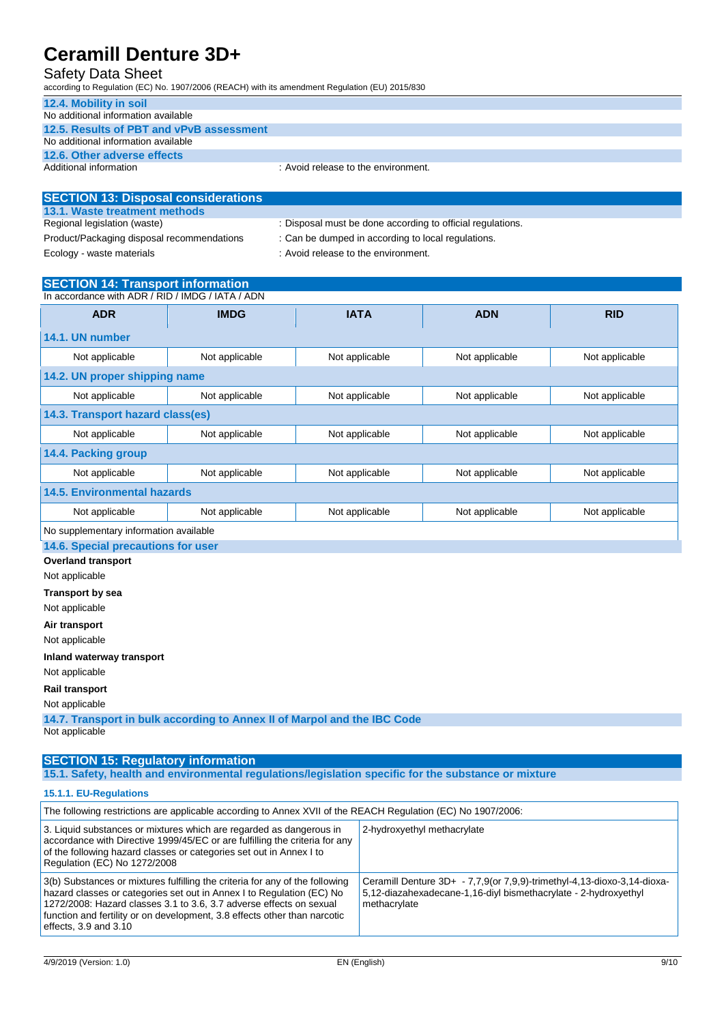### Safety Data Sheet

according to Regulation (EC) No. 1907/2006 (REACH) with its amendment Regulation (EU) 2015/830

| 12.4. Mobility in soil                   |                                     |
|------------------------------------------|-------------------------------------|
| No additional information available      |                                     |
| 12.5. Results of PBT and vPvB assessment |                                     |
| No additional information available      |                                     |
| 12.6. Other adverse effects              |                                     |
| Additional information                   | : Avoid release to the environment. |

| <b>SECTION 13: Disposal considerations</b> |                                                            |
|--------------------------------------------|------------------------------------------------------------|
| 13.1. Waste treatment methods              |                                                            |
| Regional legislation (waste)               | : Disposal must be done according to official regulations. |
| Product/Packaging disposal recommendations | : Can be dumped in according to local regulations.         |
| Ecology - waste materials                  | : Avoid release to the environment.                        |

### **SECTION 14: Transport information**

| In accordance with ADR / RID / IMDG / IATA / ADN |                |                |                |                |
|--------------------------------------------------|----------------|----------------|----------------|----------------|
| <b>ADR</b>                                       | <b>IMDG</b>    | <b>IATA</b>    | <b>ADN</b>     | <b>RID</b>     |
| 14.1. UN number                                  |                |                |                |                |
| Not applicable                                   | Not applicable | Not applicable | Not applicable | Not applicable |
| 14.2. UN proper shipping name                    |                |                |                |                |
| Not applicable                                   | Not applicable | Not applicable | Not applicable | Not applicable |
| 14.3. Transport hazard class(es)                 |                |                |                |                |
| Not applicable                                   | Not applicable | Not applicable | Not applicable | Not applicable |
| 14.4. Packing group                              |                |                |                |                |
| Not applicable                                   | Not applicable | Not applicable | Not applicable | Not applicable |
| 14.5. Environmental hazards                      |                |                |                |                |
| Not applicable                                   | Not applicable | Not applicable | Not applicable | Not applicable |
| No supplementary information available           |                |                |                |                |
| 14.6. Special precautions for user               |                |                |                |                |

**Overland transport**

Not applicable

**Transport by sea** Not applicable

**Air transport**

Not applicable

**Inland waterway transport**

Not applicable

**Rail transport**

Not applicable

**14.7. Transport in bulk according to Annex II of Marpol and the IBC Code** Not applicable

**SECTION 15: Regulatory information 15.1. Safety, health and environmental regulations/legislation specific for the substance or mixture**

**15.1.1. EU-Regulations**

| The following restrictions are applicable according to Annex XVII of the REACH Regulation (EC) No 1907/2006:                                                                                                                                                                                                                           |                                                                                                                                                            |  |
|----------------------------------------------------------------------------------------------------------------------------------------------------------------------------------------------------------------------------------------------------------------------------------------------------------------------------------------|------------------------------------------------------------------------------------------------------------------------------------------------------------|--|
| 3. Liquid substances or mixtures which are regarded as dangerous in<br>accordance with Directive 1999/45/EC or are fulfilling the criteria for any<br>of the following hazard classes or categories set out in Annex I to<br>Regulation (EC) No 1272/2008                                                                              | 2-hydroxyethyl methacrylate                                                                                                                                |  |
| 3(b) Substances or mixtures fulfilling the criteria for any of the following<br>hazard classes or categories set out in Annex I to Regulation (EC) No<br>1272/2008: Hazard classes 3.1 to 3.6, 3.7 adverse effects on sexual<br>function and fertility or on development, 3.8 effects other than narcotic<br>effects, $3.9$ and $3.10$ | Ceramill Denture 3D+ - 7,7,9(or 7,9,9)-trimethyl-4,13-dioxo-3,14-dioxa-<br>5,12-diazahexadecane-1,16-diyl bismethacrylate - 2-hydroxyethyl<br>methacrylate |  |